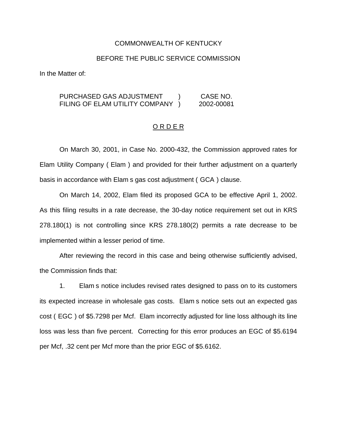#### COMMONWEALTH OF KENTUCKY

#### BEFORE THE PUBLIC SERVICE COMMISSION

In the Matter of:

## PURCHASED GAS ADJUSTMENT ) CASE NO. FILING OF ELAM UTILITY COMPANY ) 2002-00081

## O R D E R

On March 30, 2001, in Case No. 2000-432, the Commission approved rates for Elam Utility Company ( Elam ) and provided for their further adjustment on a quarterly basis in accordance with Elam s gas cost adjustment ( GCA ) clause.

On March 14, 2002, Elam filed its proposed GCA to be effective April 1, 2002. As this filing results in a rate decrease, the 30-day notice requirement set out in KRS 278.180(1) is not controlling since KRS 278.180(2) permits a rate decrease to be implemented within a lesser period of time.

After reviewing the record in this case and being otherwise sufficiently advised, the Commission finds that:

1. Elam s notice includes revised rates designed to pass on to its customers its expected increase in wholesale gas costs. Elam s notice sets out an expected gas cost ( EGC ) of \$5.7298 per Mcf. Elam incorrectly adjusted for line loss although its line loss was less than five percent. Correcting for this error produces an EGC of \$5.6194 per Mcf, .32 cent per Mcf more than the prior EGC of \$5.6162.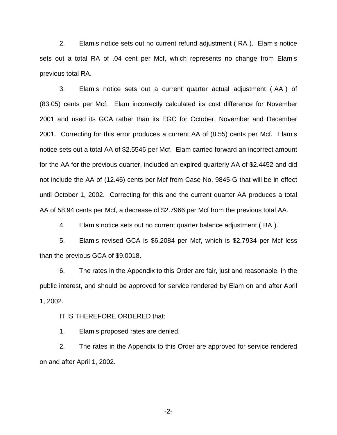2. Elam s notice sets out no current refund adjustment ( RA ). Elam s notice sets out a total RA of .04 cent per Mcf, which represents no change from Elam s previous total RA.

3. Elam s notice sets out a current quarter actual adjustment ( AA ) of (83.05) cents per Mcf. Elam incorrectly calculated its cost difference for November 2001 and used its GCA rather than its EGC for October, November and December 2001. Correcting for this error produces a current AA of (8.55) cents per Mcf. Elam s notice sets out a total AA of \$2.5546 per Mcf. Elam carried forward an incorrect amount for the AA for the previous quarter, included an expired quarterly AA of \$2.4452 and did not include the AA of (12.46) cents per Mcf from Case No. 9845-G that will be in effect until October 1, 2002. Correcting for this and the current quarter AA produces a total AA of 58.94 cents per Mcf, a decrease of \$2.7966 per Mcf from the previous total AA.

4. Elam s notice sets out no current quarter balance adjustment ( BA ).

5. Elam s revised GCA is \$6.2084 per Mcf, which is \$2.7934 per Mcf less than the previous GCA of \$9.0018.

6. The rates in the Appendix to this Order are fair, just and reasonable, in the public interest, and should be approved for service rendered by Elam on and after April 1, 2002.

IT IS THEREFORE ORDERED that:

1. Elam s proposed rates are denied.

2. The rates in the Appendix to this Order are approved for service rendered on and after April 1, 2002.

-2-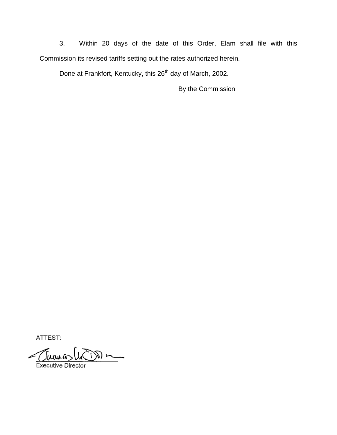3. Within 20 days of the date of this Order, Elam shall file with this Commission its revised tariffs setting out the rates authorized herein.

Done at Frankfort, Kentucky, this 26<sup>th</sup> day of March, 2002.

By the Commission

ATTEST:

Thomas (nom ~

**Executive Director**